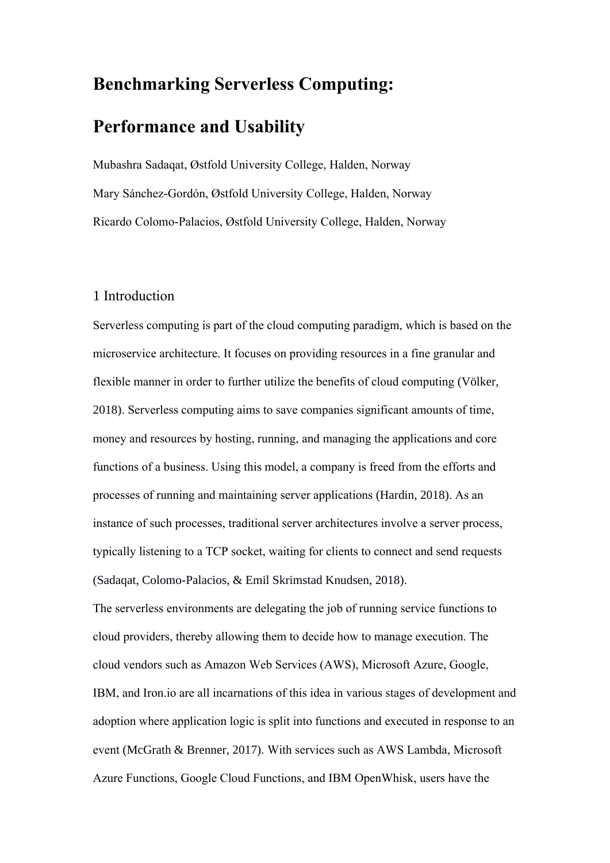# **Benchmarking Serverless Computing:**

# **Performance and Usability**

Mubashra Sadaqat, Østfold University College, Halden, Norway Mary Sánchez-Gordón, Østfold University College, Halden, Norway Ricardo Colomo-Palacios, Østfold University College, Halden, Norway

# 1 Introduction

Serverless computing is part of the cloud computing paradigm, which is based on the microservice architecture. It focuses on providing resources in a fine granular and flexible manner in order to further utilize the benefits of cloud computing (Völker, 2018). Serverless computing aims to save companies significant amounts of time, money and resources by hosting, running, and managing the applications and core functions of a business. Using this model, a company is freed from the efforts and processes of running and maintaining server applications (Hardin, 2018). As an instance of such processes, traditional server architectures involve a server process, typically listening to a TCP socket, waiting for clients to connect and send requests (Sadaqat, Colomo-Palacios, & Emil Skrimstad Knudsen, 2018).

The serverless environments are delegating the job of running service functions to cloud providers, thereby allowing them to decide how to manage execution. The cloud vendors such as Amazon Web Services (AWS), Microsoft Azure, Google, IBM, and Iron.io are all incarnations of this idea in various stages of development and adoption where application logic is split into functions and executed in response to an event (McGrath & Brenner, 2017). With services such as AWS Lambda, Microsoft Azure Functions, Google Cloud Functions, and IBM OpenWhisk, users have the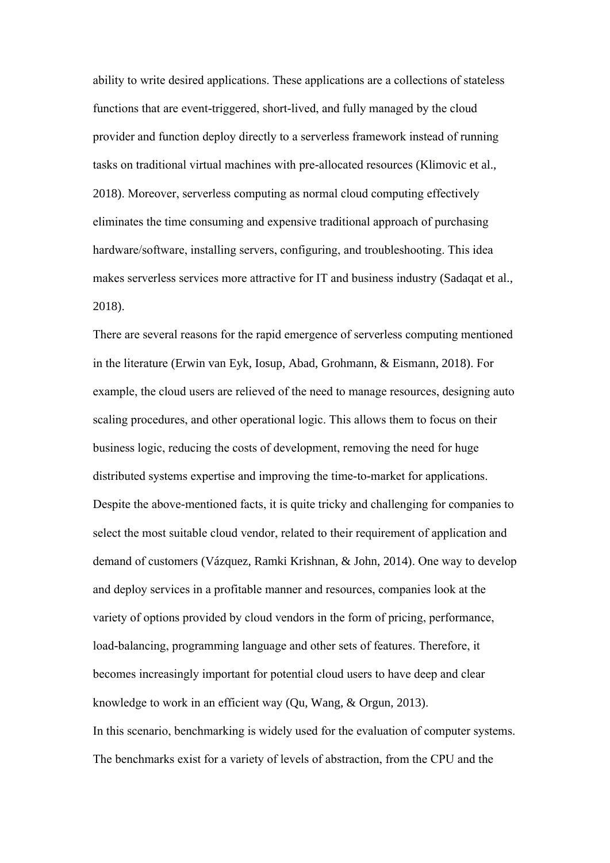ability to write desired applications. These applications are a collections of stateless functions that are event-triggered, short-lived, and fully managed by the cloud provider and function deploy directly to a serverless framework instead of running tasks on traditional virtual machines with pre-allocated resources (Klimovic et al., 2018). Moreover, serverless computing as normal cloud computing effectively eliminates the time consuming and expensive traditional approach of purchasing hardware/software, installing servers, configuring, and troubleshooting. This idea makes serverless services more attractive for IT and business industry (Sadaqat et al., 2018).

There are several reasons for the rapid emergence of serverless computing mentioned in the literature (Erwin van Eyk, Iosup, Abad, Grohmann, & Eismann, 2018). For example, the cloud users are relieved of the need to manage resources, designing auto scaling procedures, and other operational logic. This allows them to focus on their business logic, reducing the costs of development, removing the need for huge distributed systems expertise and improving the time-to-market for applications. Despite the above-mentioned facts, it is quite tricky and challenging for companies to select the most suitable cloud vendor, related to their requirement of application and demand of customers (Vázquez, Ramki Krishnan, & John, 2014). One way to develop and deploy services in a profitable manner and resources, companies look at the variety of options provided by cloud vendors in the form of pricing, performance, load-balancing, programming language and other sets of features. Therefore, it becomes increasingly important for potential cloud users to have deep and clear knowledge to work in an efficient way (Qu, Wang, & Orgun, 2013). In this scenario, benchmarking is widely used for the evaluation of computer systems. The benchmarks exist for a variety of levels of abstraction, from the CPU and the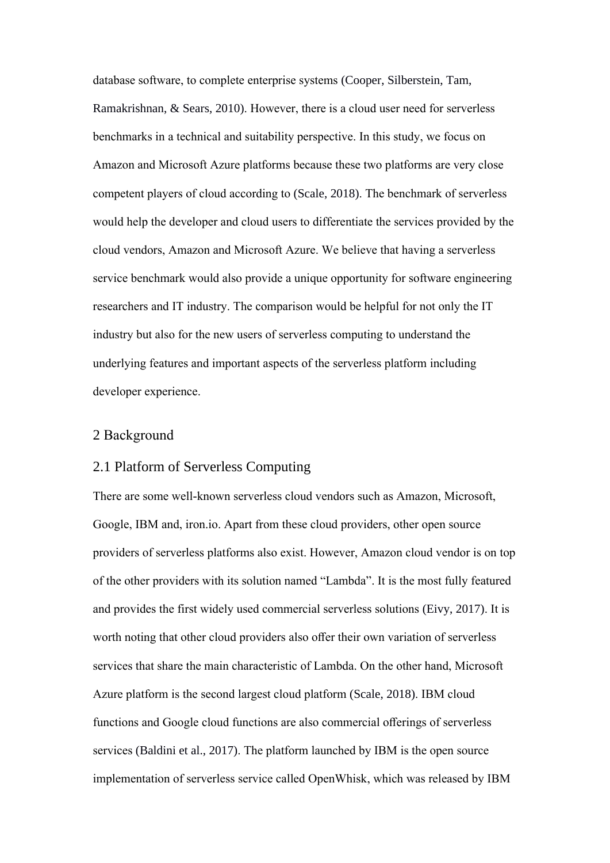database software, to complete enterprise systems (Cooper, Silberstein, Tam, Ramakrishnan, & Sears, 2010). However, there is a cloud user need for serverless benchmarks in a technical and suitability perspective. In this study, we focus on Amazon and Microsoft Azure platforms because these two platforms are very close competent players of cloud according to (Scale, 2018). The benchmark of serverless would help the developer and cloud users to differentiate the services provided by the cloud vendors, Amazon and Microsoft Azure. We believe that having a serverless service benchmark would also provide a unique opportunity for software engineering researchers and IT industry. The comparison would be helpful for not only the IT industry but also for the new users of serverless computing to understand the underlying features and important aspects of the serverless platform including developer experience.

# 2 Background

### 2.1 Platform of Serverless Computing

There are some well-known serverless cloud vendors such as Amazon, Microsoft, Google, IBM and, iron.io. Apart from these cloud providers, other open source providers of serverless platforms also exist. However, Amazon cloud vendor is on top of the other providers with its solution named "Lambda". It is the most fully featured and provides the first widely used commercial serverless solutions (Eivy, 2017). It is worth noting that other cloud providers also offer their own variation of serverless services that share the main characteristic of Lambda. On the other hand, Microsoft Azure platform is the second largest cloud platform (Scale, 2018). IBM cloud functions and Google cloud functions are also commercial offerings of serverless services (Baldini et al., 2017). The platform launched by IBM is the open source implementation of serverless service called OpenWhisk, which was released by IBM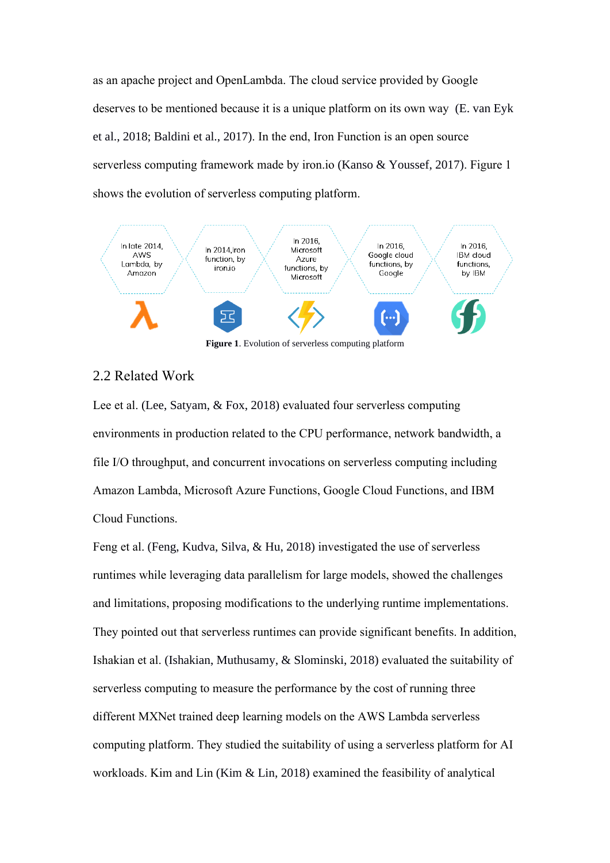as an apache project and OpenLambda. The cloud service provided by Google deserves to be mentioned because it is a unique platform on its own way (E. van Eyk et al., 2018; Baldini et al., 2017). In the end, Iron Function is an open source serverless computing framework made by iron.io (Kanso & Youssef, 2017). Figure 1 shows the evolution of serverless computing platform.



**Figure 1**. Evolution of serverless computing platform

# 2.2 Related Work

Lee et al. (Lee, Satyam, & Fox, 2018) evaluated four serverless computing environments in production related to the CPU performance, network bandwidth, a file I/O throughput, and concurrent invocations on serverless computing including Amazon Lambda, Microsoft Azure Functions, Google Cloud Functions, and IBM Cloud Functions.

Feng et al. (Feng, Kudva, Silva, & Hu, 2018) investigated the use of serverless runtimes while leveraging data parallelism for large models, showed the challenges and limitations, proposing modifications to the underlying runtime implementations. They pointed out that serverless runtimes can provide significant benefits. In addition, Ishakian et al. (Ishakian, Muthusamy, & Slominski, 2018) evaluated the suitability of serverless computing to measure the performance by the cost of running three different MXNet trained deep learning models on the AWS Lambda serverless computing platform. They studied the suitability of using a serverless platform for AI workloads. Kim and Lin (Kim & Lin, 2018) examined the feasibility of analytical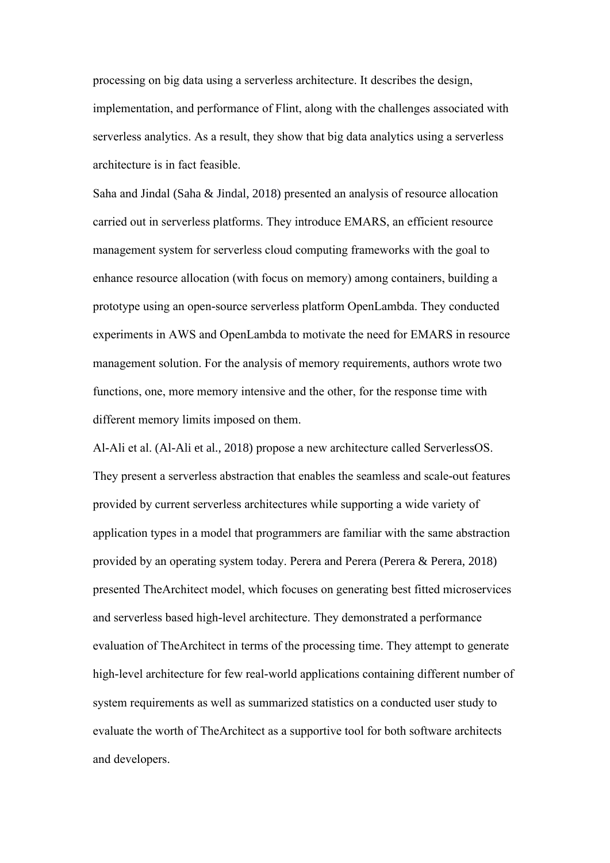processing on big data using a serverless architecture. It describes the design, implementation, and performance of Flint, along with the challenges associated with serverless analytics. As a result, they show that big data analytics using a serverless architecture is in fact feasible.

Saha and Jindal (Saha & Jindal, 2018) presented an analysis of resource allocation carried out in serverless platforms. They introduce EMARS, an efficient resource management system for serverless cloud computing frameworks with the goal to enhance resource allocation (with focus on memory) among containers, building a prototype using an open-source serverless platform OpenLambda. They conducted experiments in AWS and OpenLambda to motivate the need for EMARS in resource management solution. For the analysis of memory requirements, authors wrote two functions, one, more memory intensive and the other, for the response time with different memory limits imposed on them.

Al-Ali et al. (Al-Ali et al., 2018) propose a new architecture called ServerlessOS. They present a serverless abstraction that enables the seamless and scale-out features provided by current serverless architectures while supporting a wide variety of application types in a model that programmers are familiar with the same abstraction provided by an operating system today. Perera and Perera (Perera & Perera, 2018) presented TheArchitect model, which focuses on generating best fitted microservices and serverless based high-level architecture. They demonstrated a performance evaluation of TheArchitect in terms of the processing time. They attempt to generate high-level architecture for few real-world applications containing different number of system requirements as well as summarized statistics on a conducted user study to evaluate the worth of TheArchitect as a supportive tool for both software architects and developers.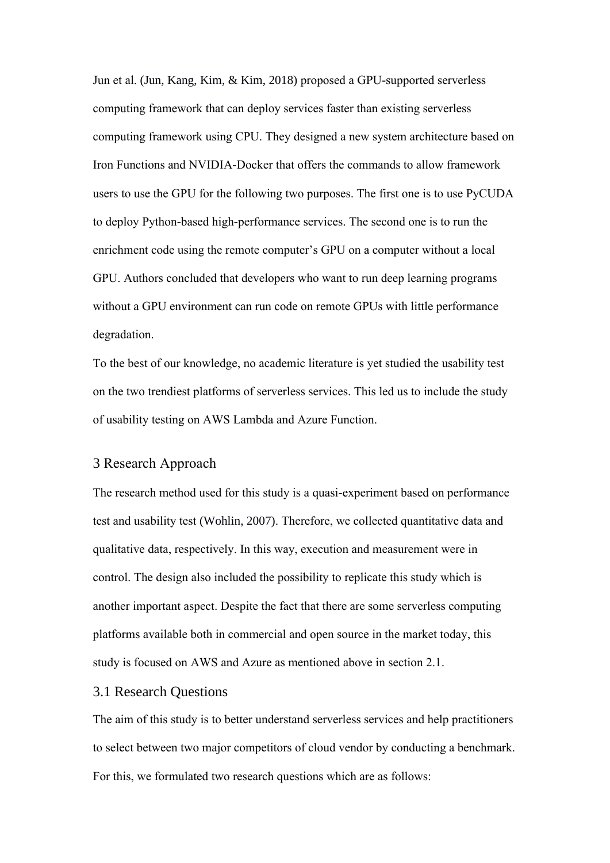Jun et al. (Jun, Kang, Kim, & Kim, 2018) proposed a GPU-supported serverless computing framework that can deploy services faster than existing serverless computing framework using CPU. They designed a new system architecture based on Iron Functions and NVIDIA-Docker that offers the commands to allow framework users to use the GPU for the following two purposes. The first one is to use PyCUDA to deploy Python-based high-performance services. The second one is to run the enrichment code using the remote computer's GPU on a computer without a local GPU. Authors concluded that developers who want to run deep learning programs without a GPU environment can run code on remote GPUs with little performance degradation.

To the best of our knowledge, no academic literature is yet studied the usability test on the two trendiest platforms of serverless services. This led us to include the study of usability testing on AWS Lambda and Azure Function.

#### 3 Research Approach

The research method used for this study is a quasi-experiment based on performance test and usability test (Wohlin, 2007). Therefore, we collected quantitative data and qualitative data, respectively. In this way, execution and measurement were in control. The design also included the possibility to replicate this study which is another important aspect. Despite the fact that there are some serverless computing platforms available both in commercial and open source in the market today, this study is focused on AWS and Azure as mentioned above in section 2.1.

#### 3.1 Research Questions

The aim of this study is to better understand serverless services and help practitioners to select between two major competitors of cloud vendor by conducting a benchmark. For this, we formulated two research questions which are as follows: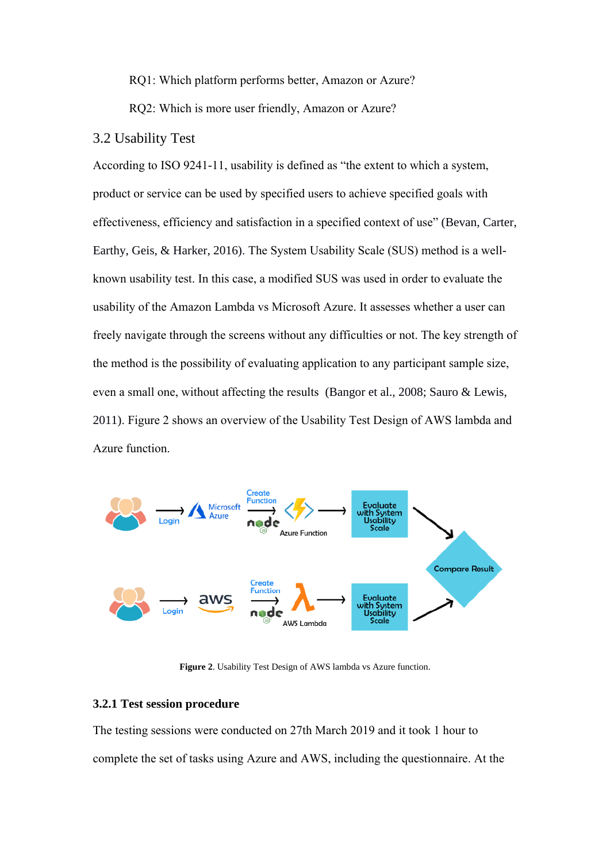RQ1: Which platform performs better, Amazon or Azure?

RQ2: Which is more user friendly, Amazon or Azure?

#### 3.2 Usability Test

According to ISO 9241-11, usability is defined as "the extent to which a system, product or service can be used by specified users to achieve specified goals with effectiveness, efficiency and satisfaction in a specified context of use" (Bevan, Carter, Earthy, Geis, & Harker, 2016). The System Usability Scale (SUS) method is a wellknown usability test. In this case, a modified SUS was used in order to evaluate the usability of the Amazon Lambda vs Microsoft Azure. It assesses whether a user can freely navigate through the screens without any difficulties or not. The key strength of the method is the possibility of evaluating application to any participant sample size, even a small one, without affecting the results (Bangor et al., 2008; Sauro & Lewis, 2011). Figure 2 shows an overview of the Usability Test Design of AWS lambda and Azure function.



**Figure 2**. Usability Test Design of AWS lambda vs Azure function.

# **3.2.1 Test session procedure**

The testing sessions were conducted on 27th March 2019 and it took 1 hour to complete the set of tasks using Azure and AWS, including the questionnaire. At the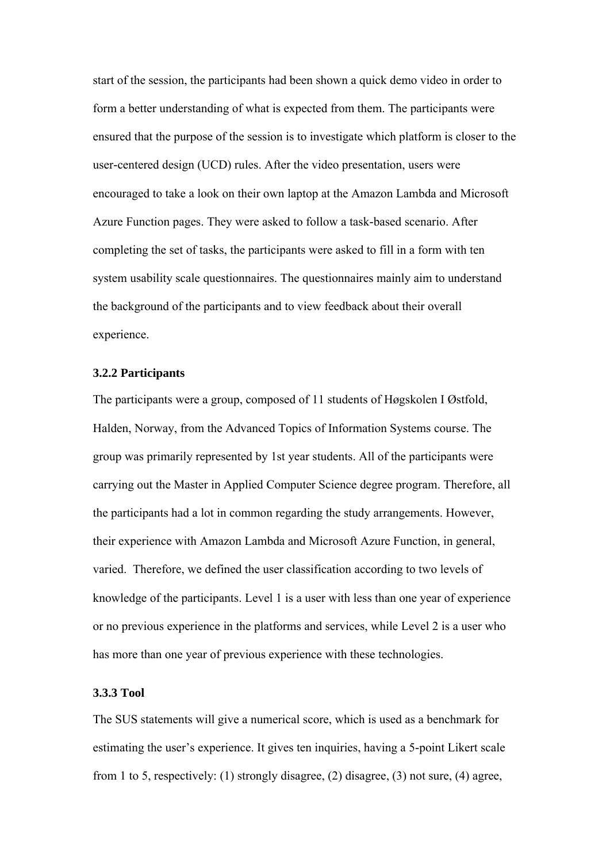start of the session, the participants had been shown a quick demo video in order to form a better understanding of what is expected from them. The participants were ensured that the purpose of the session is to investigate which platform is closer to the user-centered design (UCD) rules. After the video presentation, users were encouraged to take a look on their own laptop at the Amazon Lambda and Microsoft Azure Function pages. They were asked to follow a task-based scenario. After completing the set of tasks, the participants were asked to fill in a form with ten system usability scale questionnaires. The questionnaires mainly aim to understand the background of the participants and to view feedback about their overall experience.

#### **3.2.2 Participants**

The participants were a group, composed of 11 students of Høgskolen I Østfold, Halden, Norway, from the Advanced Topics of Information Systems course. The group was primarily represented by 1st year students. All of the participants were carrying out the Master in Applied Computer Science degree program. Therefore, all the participants had a lot in common regarding the study arrangements. However, their experience with Amazon Lambda and Microsoft Azure Function, in general, varied. Therefore, we defined the user classification according to two levels of knowledge of the participants. Level 1 is a user with less than one year of experience or no previous experience in the platforms and services, while Level 2 is a user who has more than one year of previous experience with these technologies.

#### **3.3.3 Tool**

The SUS statements will give a numerical score, which is used as a benchmark for estimating the user's experience. It gives ten inquiries, having a 5-point Likert scale from 1 to 5, respectively: (1) strongly disagree, (2) disagree, (3) not sure, (4) agree,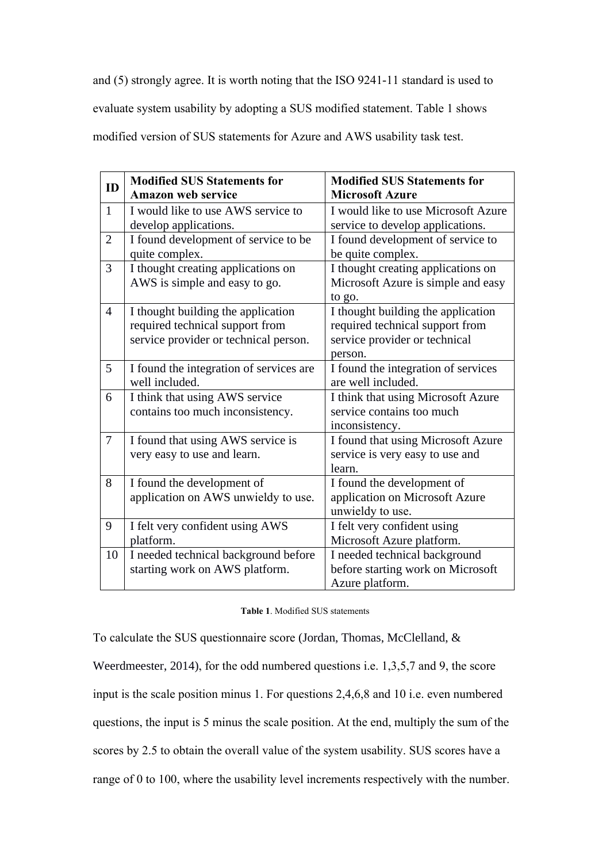and (5) strongly agree. It is worth noting that the ISO 9241-11 standard is used to evaluate system usability by adopting a SUS modified statement. Table 1 shows modified version of SUS statements for Azure and AWS usability task test.

| ID             | <b>Modified SUS Statements for</b>      | <b>Modified SUS Statements for</b>  |
|----------------|-----------------------------------------|-------------------------------------|
|                | <b>Amazon web service</b>               | <b>Microsoft Azure</b>              |
| $\mathbf{1}$   | I would like to use AWS service to      | I would like to use Microsoft Azure |
|                | develop applications.                   | service to develop applications.    |
| $\overline{2}$ | I found development of service to be    | I found development of service to   |
|                | quite complex.                          | be quite complex.                   |
| 3              | I thought creating applications on      | I thought creating applications on  |
|                | AWS is simple and easy to go.           | Microsoft Azure is simple and easy  |
|                |                                         | to go.                              |
| $\overline{4}$ | I thought building the application      | I thought building the application  |
|                | required technical support from         | required technical support from     |
|                | service provider or technical person.   | service provider or technical       |
|                |                                         | person.                             |
| 5              | I found the integration of services are | I found the integration of services |
|                | well included.                          | are well included.                  |
| 6              | I think that using AWS service          | I think that using Microsoft Azure  |
|                | contains too much inconsistency.        | service contains too much           |
|                |                                         | inconsistency.                      |
| $\overline{7}$ | I found that using AWS service is       | I found that using Microsoft Azure  |
|                | very easy to use and learn.             | service is very easy to use and     |
|                |                                         | learn.                              |
| 8              | I found the development of              | I found the development of          |
|                | application on AWS unwieldy to use.     | application on Microsoft Azure      |
|                |                                         | unwieldy to use.                    |
| 9              | I felt very confident using AWS         | I felt very confident using         |
|                | platform.                               | Microsoft Azure platform.           |
| 10             | I needed technical background before    | I needed technical background       |
|                | starting work on AWS platform.          | before starting work on Microsoft   |
|                |                                         | Azure platform.                     |

| <b>Table 1. Modified SUS statements</b> |
|-----------------------------------------|
|-----------------------------------------|

To calculate the SUS questionnaire score (Jordan, Thomas, McClelland, & Weerdmeester, 2014), for the odd numbered questions i.e. 1,3,5,7 and 9, the score input is the scale position minus 1. For questions 2,4,6,8 and 10 i.e. even numbered questions, the input is 5 minus the scale position. At the end, multiply the sum of the scores by 2.5 to obtain the overall value of the system usability. SUS scores have a range of 0 to 100, where the usability level increments respectively with the number.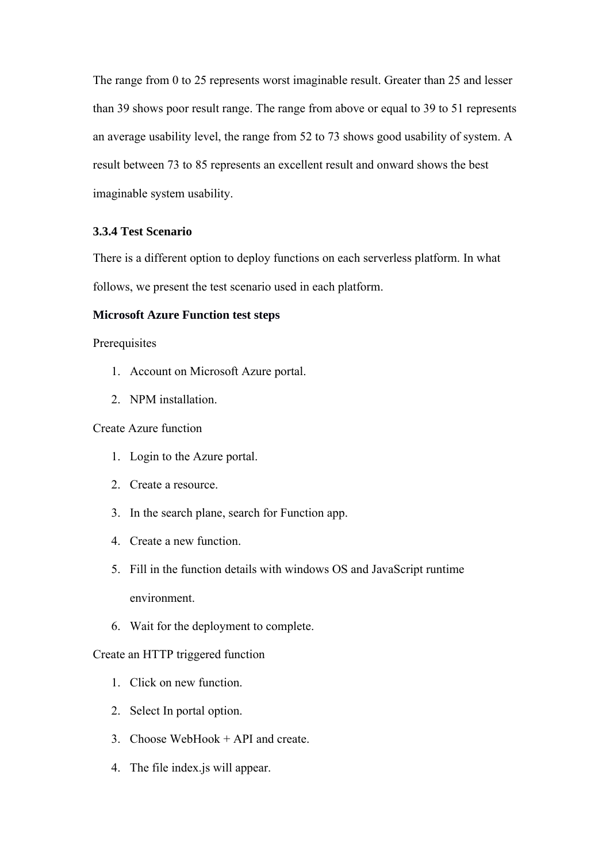The range from 0 to 25 represents worst imaginable result. Greater than 25 and lesser than 39 shows poor result range. The range from above or equal to 39 to 51 represents an average usability level, the range from 52 to 73 shows good usability of system. A result between 73 to 85 represents an excellent result and onward shows the best imaginable system usability.

# **3.3.4 Test Scenario**

There is a different option to deploy functions on each serverless platform. In what follows, we present the test scenario used in each platform.

#### **Microsoft Azure Function test steps**

#### Prerequisites

- 1. Account on Microsoft Azure portal.
- 2. NPM installation.

### Create Azure function

- 1. Login to the Azure portal.
- 2. Create a resource.
- 3. In the search plane, search for Function app.
- 4. Create a new function.
- 5. Fill in the function details with windows OS and JavaScript runtime environment.
- 6. Wait for the deployment to complete.

#### Create an HTTP triggered function

- 1. Click on new function.
- 2. Select In portal option.
- 3. Choose WebHook + API and create.
- 4. The file index.js will appear.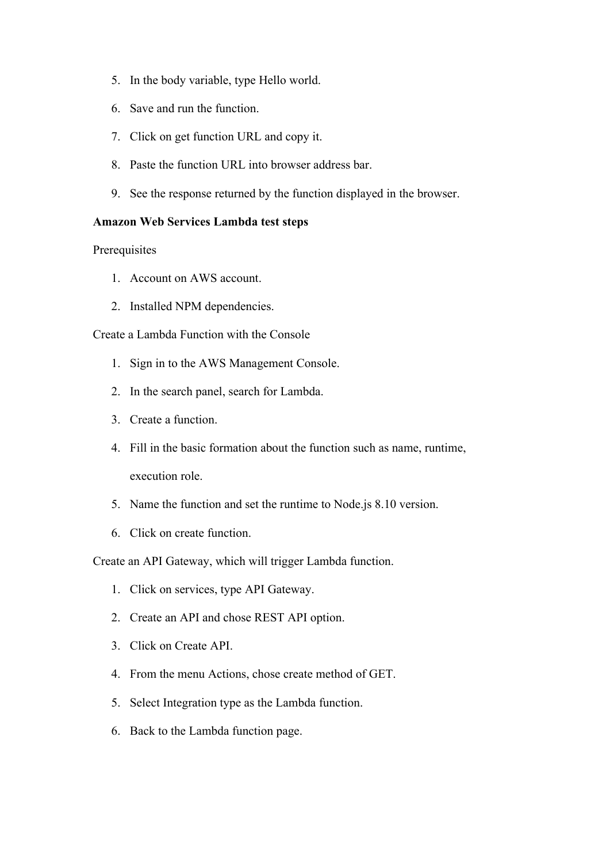- 5. In the body variable, type Hello world.
- 6. Save and run the function.
- 7. Click on get function URL and copy it.
- 8. Paste the function URL into browser address bar.
- 9. See the response returned by the function displayed in the browser.

# **Amazon Web Services Lambda test steps**

**Prerequisites** 

- 1. Account on AWS account.
- 2. Installed NPM dependencies.

Create a Lambda Function with the Console

- 1. Sign in to the AWS Management Console.
- 2. In the search panel, search for Lambda.
- 3. Create a function.
- 4. Fill in the basic formation about the function such as name, runtime, execution role.
- 5. Name the function and set the runtime to Node.js 8.10 version.
- 6. Click on create function.

Create an API Gateway, which will trigger Lambda function.

- 1. Click on services, type API Gateway.
- 2. Create an API and chose REST API option.
- 3. Click on Create API.
- 4. From the menu Actions, chose create method of GET.
- 5. Select Integration type as the Lambda function.
- 6. Back to the Lambda function page.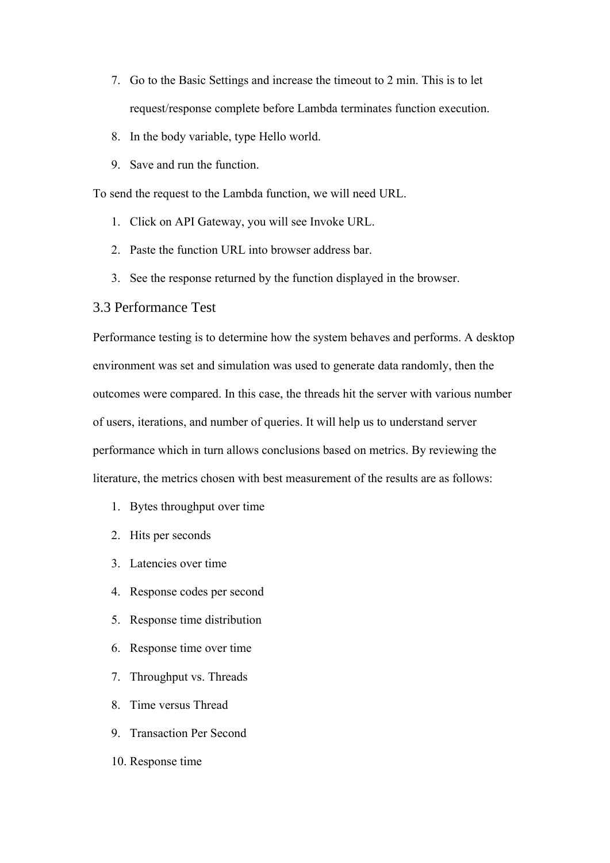- 7. Go to the Basic Settings and increase the timeout to 2 min. This is to let request/response complete before Lambda terminates function execution.
- 8. In the body variable, type Hello world.
- 9. Save and run the function.

To send the request to the Lambda function, we will need URL.

- 1. Click on API Gateway, you will see Invoke URL.
- 2. Paste the function URL into browser address bar.
- 3. See the response returned by the function displayed in the browser.

# 3.3 Performance Test

Performance testing is to determine how the system behaves and performs. A desktop environment was set and simulation was used to generate data randomly, then the outcomes were compared. In this case, the threads hit the server with various number of users, iterations, and number of queries. It will help us to understand server performance which in turn allows conclusions based on metrics. By reviewing the literature, the metrics chosen with best measurement of the results are as follows:

- 1. Bytes throughput over time
- 2. Hits per seconds
- 3. Latencies over time
- 4. Response codes per second
- 5. Response time distribution
- 6. Response time over time
- 7. Throughput vs. Threads
- 8. Time versus Thread
- 9. Transaction Per Second
- 10. Response time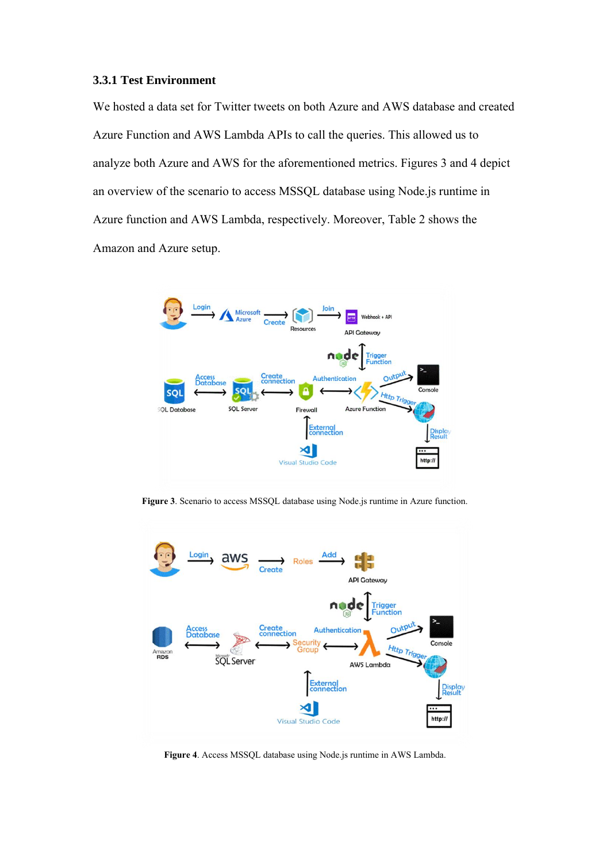#### **3.3.1 Test Environment**

We hosted a data set for Twitter tweets on both Azure and AWS database and created Azure Function and AWS Lambda APIs to call the queries. This allowed us to analyze both Azure and AWS for the aforementioned metrics. Figures 3 and 4 depict an overview of the scenario to access MSSQL database using Node.js runtime in Azure function and AWS Lambda, respectively. Moreover, Table 2 shows the Amazon and Azure setup.



**Figure 3**. Scenario to access MSSQL database using Node.js runtime in Azure function.



**Figure 4**. Access MSSQL database using Node.js runtime in AWS Lambda.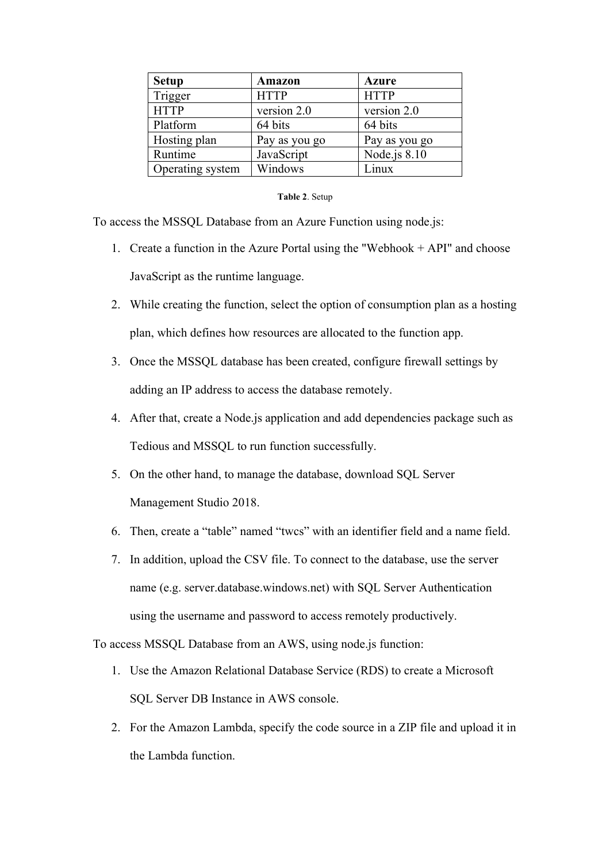| <b>Setup</b>     | <b>Amazon</b> | <b>Azure</b>   |
|------------------|---------------|----------------|
| Trigger          | <b>HTTP</b>   | <b>HTTP</b>    |
| <b>HTTP</b>      | version 2.0   | version 2.0    |
| Platform         | 64 bits       | 64 bits        |
| Hosting plan     | Pay as you go | Pay as you go  |
| Runtime          | JavaScript    | Node.js $8.10$ |
| Operating system | Windows       | Linux          |

#### **Table 2**. Setup

To access the MSSQL Database from an Azure Function using node.js:

- 1. Create a function in the Azure Portal using the "Webhook + API" and choose JavaScript as the runtime language.
- 2. While creating the function, select the option of consumption plan as a hosting plan, which defines how resources are allocated to the function app.
- 3. Once the MSSQL database has been created, configure firewall settings by adding an IP address to access the database remotely.
- 4. After that, create a Node.js application and add dependencies package such as Tedious and MSSQL to run function successfully.
- 5. On the other hand, to manage the database, download SQL Server Management Studio 2018.
- 6. Then, create a "table" named "twcs" with an identifier field and a name field.
- 7. In addition, upload the CSV file. To connect to the database, use the server name (e.g. server.database.windows.net) with SQL Server Authentication using the username and password to access remotely productively.

To access MSSQL Database from an AWS, using node.js function:

- 1. Use the Amazon Relational Database Service (RDS) to create a Microsoft SQL Server DB Instance in AWS console.
- 2. For the Amazon Lambda, specify the code source in a ZIP file and upload it in the Lambda function.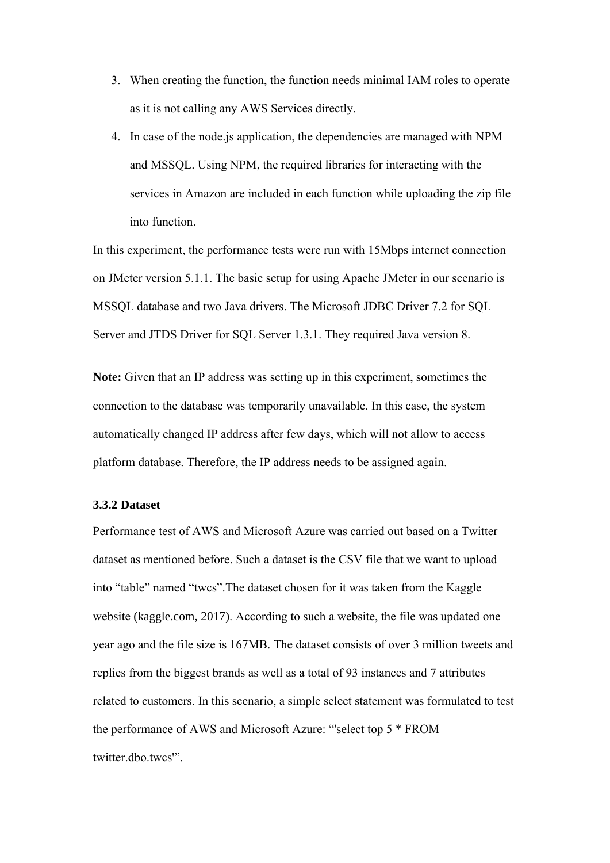- 3. When creating the function, the function needs minimal IAM roles to operate as it is not calling any AWS Services directly.
- 4. In case of the node.js application, the dependencies are managed with NPM and MSSQL. Using NPM, the required libraries for interacting with the services in Amazon are included in each function while uploading the zip file into function.

In this experiment, the performance tests were run with 15Mbps internet connection on JMeter version 5.1.1. The basic setup for using Apache JMeter in our scenario is MSSQL database and two Java drivers. The Microsoft JDBC Driver 7.2 for SQL Server and JTDS Driver for SQL Server 1.3.1. They required Java version 8.

**Note:** Given that an IP address was setting up in this experiment, sometimes the connection to the database was temporarily unavailable. In this case, the system automatically changed IP address after few days, which will not allow to access platform database. Therefore, the IP address needs to be assigned again.

# **3.3.2 Dataset**

Performance test of AWS and Microsoft Azure was carried out based on a Twitter dataset as mentioned before. Such a dataset is the CSV file that we want to upload into "table" named "twcs".The dataset chosen for it was taken from the Kaggle website (kaggle.com, 2017). According to such a website, the file was updated one year ago and the file size is 167MB. The dataset consists of over 3 million tweets and replies from the biggest brands as well as a total of 93 instances and 7 attributes related to customers. In this scenario, a simple select statement was formulated to test the performance of AWS and Microsoft Azure: "'select top 5 \* FROM twitter.dbo.twcs'".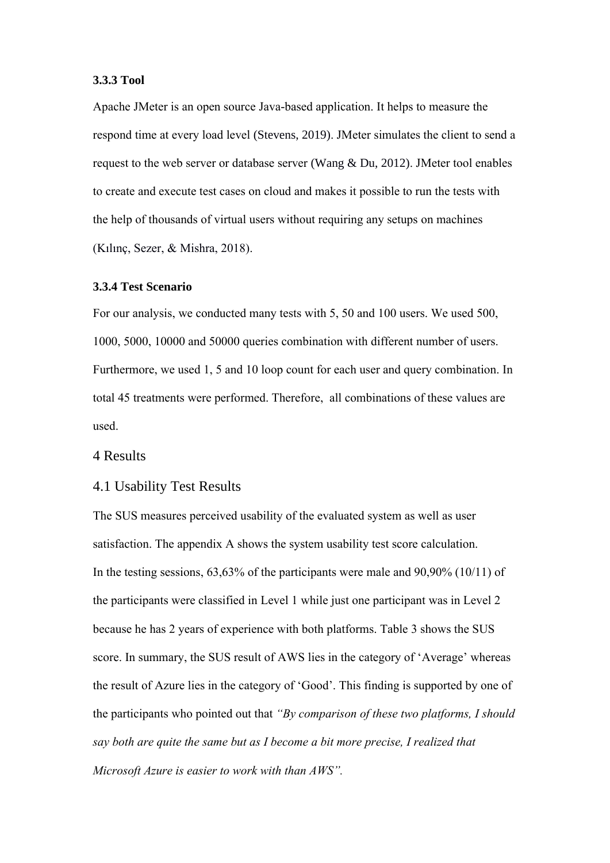#### **3.3.3 Tool**

Apache JMeter is an open source Java-based application. It helps to measure the respond time at every load level (Stevens, 2019). JMeter simulates the client to send a request to the web server or database server (Wang & Du, 2012). JMeter tool enables to create and execute test cases on cloud and makes it possible to run the tests with the help of thousands of virtual users without requiring any setups on machines (Kılınç, Sezer, & Mishra, 2018).

# **3.3.4 Test Scenario**

For our analysis, we conducted many tests with 5, 50 and 100 users. We used 500, 1000, 5000, 10000 and 50000 queries combination with different number of users. Furthermore, we used 1, 5 and 10 loop count for each user and query combination. In total 45 treatments were performed. Therefore, all combinations of these values are used.

# 4 Results

#### 4.1 Usability Test Results

The SUS measures perceived usability of the evaluated system as well as user satisfaction. The appendix A shows the system usability test score calculation. In the testing sessions, 63,63% of the participants were male and 90,90% (10/11) of the participants were classified in Level 1 while just one participant was in Level 2 because he has 2 years of experience with both platforms. Table 3 shows the SUS score. In summary, the SUS result of AWS lies in the category of 'Average' whereas the result of Azure lies in the category of 'Good'. This finding is supported by one of the participants who pointed out that *"By comparison of these two platforms, I should say both are quite the same but as I become a bit more precise, I realized that Microsoft Azure is easier to work with than AWS".*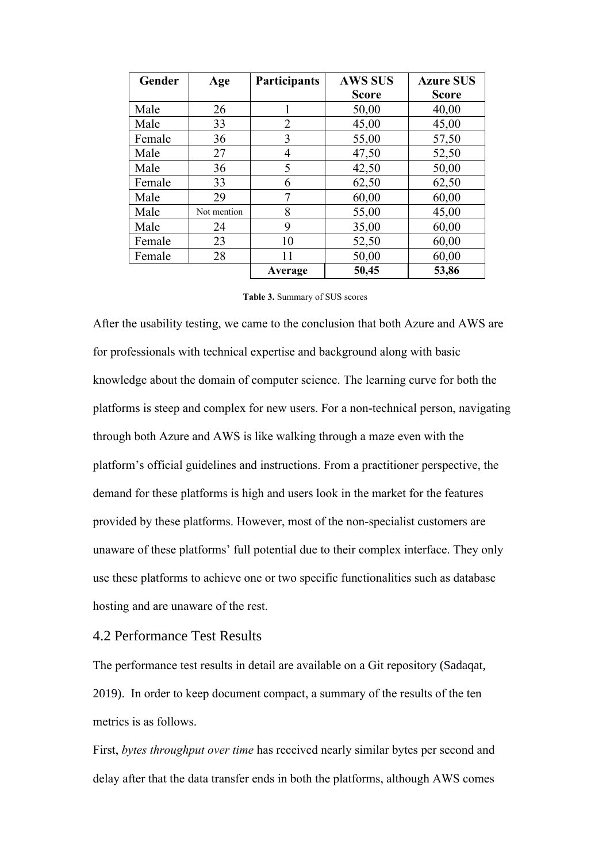| Gender | Age         | <b>Participants</b> | <b>AWS SUS</b> | <b>Azure SUS</b> |
|--------|-------------|---------------------|----------------|------------------|
|        |             |                     | <b>Score</b>   | <b>Score</b>     |
| Male   | 26          | 1                   | 50,00          | 40,00            |
| Male   | 33          | 2                   | 45,00          | 45,00            |
| Female | 36          | 3                   | 55,00          | 57,50            |
| Male   | 27          | 4                   | 47,50          | 52,50            |
| Male   | 36          | 5                   | 42,50          | 50,00            |
| Female | 33          | 6                   | 62,50          | 62,50            |
| Male   | 29          | 7                   | 60,00          | 60,00            |
| Male   | Not mention | 8                   | 55,00          | 45,00            |
| Male   | 24          | 9                   | 35,00          | 60,00            |
| Female | 23          | 10                  | 52,50          | 60,00            |
| Female | 28          | 11                  | 50,00          | 60,00            |
|        |             | Average             | 50,45          | 53,86            |

#### **Table 3.** Summary of SUS scores

After the usability testing, we came to the conclusion that both Azure and AWS are for professionals with technical expertise and background along with basic knowledge about the domain of computer science. The learning curve for both the platforms is steep and complex for new users. For a non-technical person, navigating through both Azure and AWS is like walking through a maze even with the platform's official guidelines and instructions. From a practitioner perspective, the demand for these platforms is high and users look in the market for the features provided by these platforms. However, most of the non-specialist customers are unaware of these platforms' full potential due to their complex interface. They only use these platforms to achieve one or two specific functionalities such as database hosting and are unaware of the rest.

# 4.2 Performance Test Results

The performance test results in detail are available on a Git repository (Sadaqat, 2019). In order to keep document compact, a summary of the results of the ten metrics is as follows.

First, *bytes throughput over time* has received nearly similar bytes per second and delay after that the data transfer ends in both the platforms, although AWS comes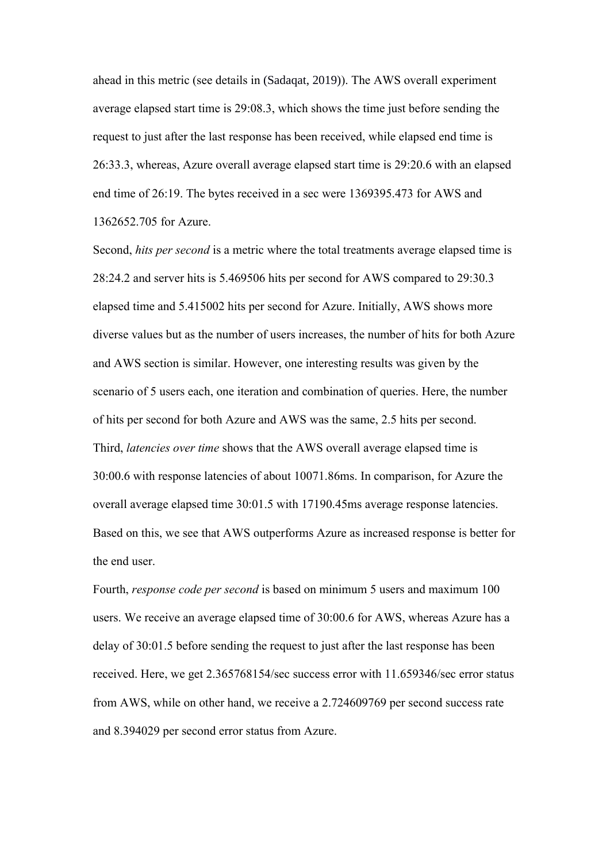ahead in this metric (see details in (Sadaqat, 2019)). The AWS overall experiment average elapsed start time is 29:08.3, which shows the time just before sending the request to just after the last response has been received, while elapsed end time is 26:33.3, whereas, Azure overall average elapsed start time is 29:20.6 with an elapsed end time of 26:19. The bytes received in a sec were 1369395.473 for AWS and 1362652.705 for Azure.

Second, *hits per second* is a metric where the total treatments average elapsed time is 28:24.2 and server hits is 5.469506 hits per second for AWS compared to 29:30.3 elapsed time and 5.415002 hits per second for Azure. Initially, AWS shows more diverse values but as the number of users increases, the number of hits for both Azure and AWS section is similar. However, one interesting results was given by the scenario of 5 users each, one iteration and combination of queries. Here, the number of hits per second for both Azure and AWS was the same, 2.5 hits per second. Third, *latencies over time* shows that the AWS overall average elapsed time is 30:00.6 with response latencies of about 10071.86ms. In comparison, for Azure the overall average elapsed time 30:01.5 with 17190.45ms average response latencies. Based on this, we see that AWS outperforms Azure as increased response is better for the end user.

Fourth, *response code per second* is based on minimum 5 users and maximum 100 users. We receive an average elapsed time of 30:00.6 for AWS, whereas Azure has a delay of 30:01.5 before sending the request to just after the last response has been received. Here, we get 2.365768154/sec success error with 11.659346/sec error status from AWS, while on other hand, we receive a 2.724609769 per second success rate and 8.394029 per second error status from Azure.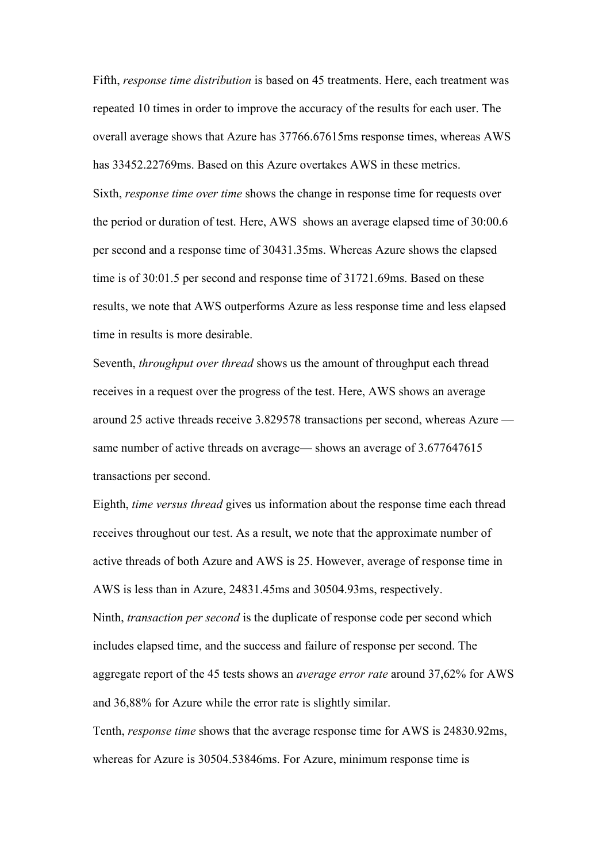Fifth, *response time distribution* is based on 45 treatments. Here, each treatment was repeated 10 times in order to improve the accuracy of the results for each user. The overall average shows that Azure has 37766.67615ms response times, whereas AWS has 33452.22769ms. Based on this Azure overtakes AWS in these metrics. Sixth, *response time over time* shows the change in response time for requests over the period or duration of test. Here, AWS shows an average elapsed time of 30:00.6 per second and a response time of 30431.35ms. Whereas Azure shows the elapsed time is of 30:01.5 per second and response time of 31721.69ms. Based on these results, we note that AWS outperforms Azure as less response time and less elapsed time in results is more desirable.

Seventh, *throughput over thread* shows us the amount of throughput each thread receives in a request over the progress of the test. Here, AWS shows an average around 25 active threads receive 3.829578 transactions per second, whereas Azure same number of active threads on average— shows an average of 3.677647615 transactions per second.

Eighth, *time versus thread* gives us information about the response time each thread receives throughout our test. As a result, we note that the approximate number of active threads of both Azure and AWS is 25. However, average of response time in AWS is less than in Azure, 24831.45ms and 30504.93ms, respectively. Ninth, *transaction per second* is the duplicate of response code per second which includes elapsed time, and the success and failure of response per second. The aggregate report of the 45 tests shows an *average error rate* around 37,62% for AWS and 36,88% for Azure while the error rate is slightly similar.

Tenth, *response time* shows that the average response time for AWS is 24830.92ms, whereas for Azure is 30504.53846ms. For Azure, minimum response time is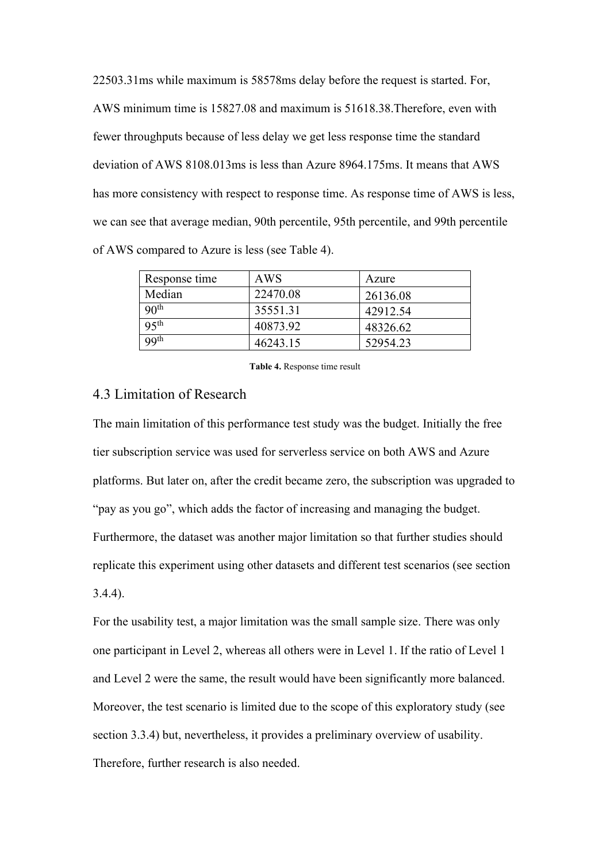22503.31ms while maximum is 58578ms delay before the request is started. For, AWS minimum time is 15827.08 and maximum is 51618.38.Therefore, even with fewer throughputs because of less delay we get less response time the standard deviation of AWS 8108.013ms is less than Azure 8964.175ms. It means that AWS has more consistency with respect to response time. As response time of AWS is less, we can see that average median, 90th percentile, 95th percentile, and 99th percentile of AWS compared to Azure is less (see Table 4).

| Response time    | AWS      | Azure    |
|------------------|----------|----------|
| Median           | 22470.08 | 26136.08 |
| 90 <sup>th</sup> | 35551.31 | 42912.54 |
| 95 <sup>th</sup> | 40873.92 | 48326.62 |
| 99 <sup>th</sup> | 46243.15 | 52954.23 |

**Table 4.** Response time result

# 4.3 Limitation of Research

The main limitation of this performance test study was the budget. Initially the free tier subscription service was used for serverless service on both AWS and Azure platforms. But later on, after the credit became zero, the subscription was upgraded to "pay as you go", which adds the factor of increasing and managing the budget. Furthermore, the dataset was another major limitation so that further studies should replicate this experiment using other datasets and different test scenarios (see section 3.4.4).

For the usability test, a major limitation was the small sample size. There was only one participant in Level 2, whereas all others were in Level 1. If the ratio of Level 1 and Level 2 were the same, the result would have been significantly more balanced. Moreover, the test scenario is limited due to the scope of this exploratory study (see section 3.3.4) but, nevertheless, it provides a preliminary overview of usability. Therefore, further research is also needed.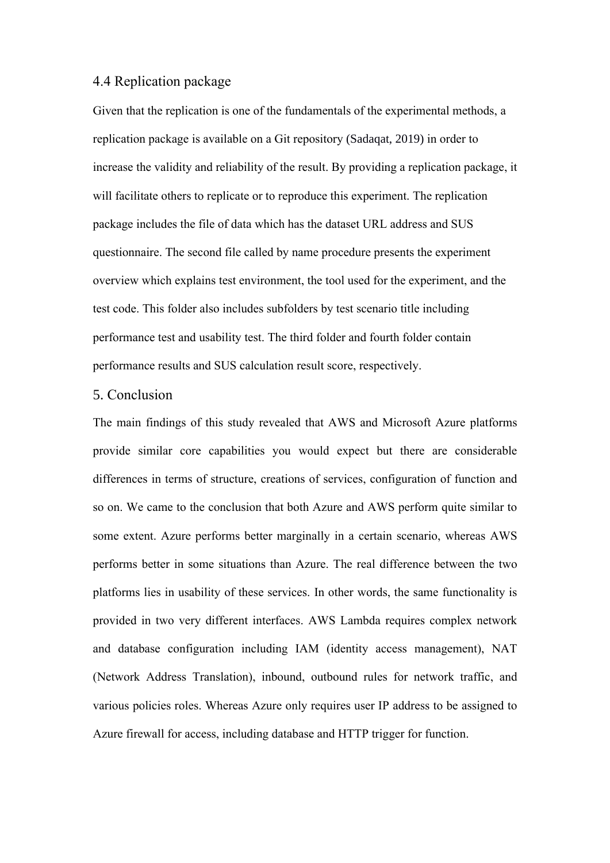# 4.4 Replication package

Given that the replication is one of the fundamentals of the experimental methods, a replication package is available on a Git repository (Sadaqat, 2019) in order to increase the validity and reliability of the result. By providing a replication package, it will facilitate others to replicate or to reproduce this experiment. The replication package includes the file of data which has the dataset URL address and SUS questionnaire. The second file called by name procedure presents the experiment overview which explains test environment, the tool used for the experiment, and the test code. This folder also includes subfolders by test scenario title including performance test and usability test. The third folder and fourth folder contain performance results and SUS calculation result score, respectively.

# 5. Conclusion

The main findings of this study revealed that AWS and Microsoft Azure platforms provide similar core capabilities you would expect but there are considerable differences in terms of structure, creations of services, configuration of function and so on. We came to the conclusion that both Azure and AWS perform quite similar to some extent. Azure performs better marginally in a certain scenario, whereas AWS performs better in some situations than Azure. The real difference between the two platforms lies in usability of these services. In other words, the same functionality is provided in two very different interfaces. AWS Lambda requires complex network and database configuration including IAM (identity access management), NAT (Network Address Translation), inbound, outbound rules for network traffic, and various policies roles. Whereas Azure only requires user IP address to be assigned to Azure firewall for access, including database and HTTP trigger for function.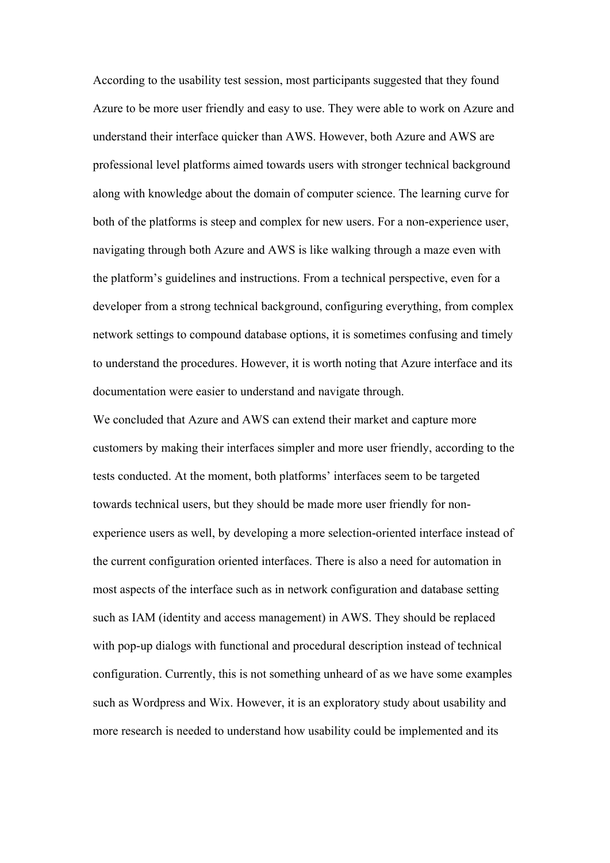According to the usability test session, most participants suggested that they found Azure to be more user friendly and easy to use. They were able to work on Azure and understand their interface quicker than AWS. However, both Azure and AWS are professional level platforms aimed towards users with stronger technical background along with knowledge about the domain of computer science. The learning curve for both of the platforms is steep and complex for new users. For a non-experience user, navigating through both Azure and AWS is like walking through a maze even with the platform's guidelines and instructions. From a technical perspective, even for a developer from a strong technical background, configuring everything, from complex network settings to compound database options, it is sometimes confusing and timely to understand the procedures. However, it is worth noting that Azure interface and its documentation were easier to understand and navigate through.

We concluded that Azure and AWS can extend their market and capture more customers by making their interfaces simpler and more user friendly, according to the tests conducted. At the moment, both platforms' interfaces seem to be targeted towards technical users, but they should be made more user friendly for nonexperience users as well, by developing a more selection-oriented interface instead of the current configuration oriented interfaces. There is also a need for automation in most aspects of the interface such as in network configuration and database setting such as IAM (identity and access management) in AWS. They should be replaced with pop-up dialogs with functional and procedural description instead of technical configuration. Currently, this is not something unheard of as we have some examples such as Wordpress and Wix. However, it is an exploratory study about usability and more research is needed to understand how usability could be implemented and its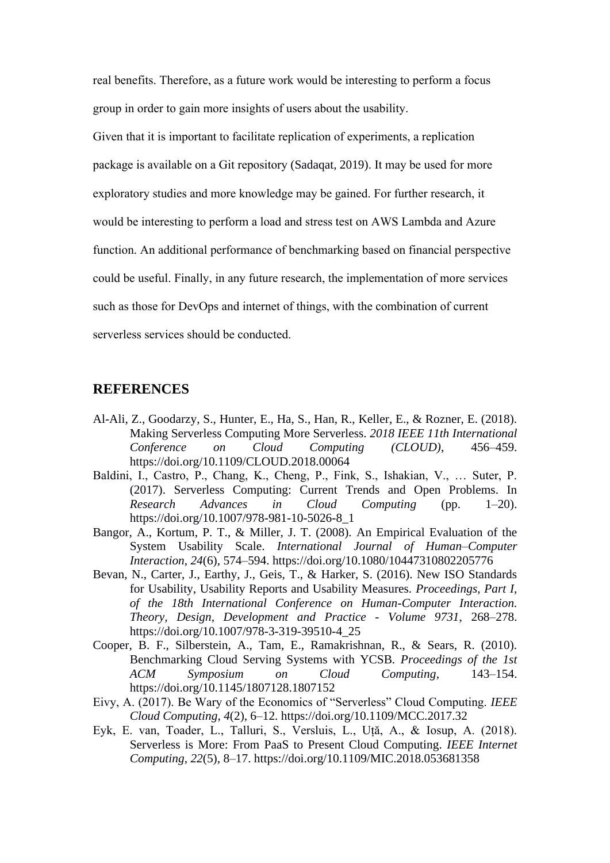real benefits. Therefore, as a future work would be interesting to perform a focus group in order to gain more insights of users about the usability.

Given that it is important to facilitate replication of experiments, a replication package is available on a Git repository (Sadaqat, 2019). It may be used for more exploratory studies and more knowledge may be gained. For further research, it would be interesting to perform a load and stress test on AWS Lambda and Azure function. An additional performance of benchmarking based on financial perspective could be useful. Finally, in any future research, the implementation of more services such as those for DevOps and internet of things, with the combination of current serverless services should be conducted.

# **REFERENCES**

- Al-Ali, Z., Goodarzy, S., Hunter, E., Ha, S., Han, R., Keller, E., & Rozner, E. (2018). Making Serverless Computing More Serverless. *2018 IEEE 11th International Conference on Cloud Computing (CLOUD)*, 456–459. https://doi.org/10.1109/CLOUD.2018.00064
- Baldini, I., Castro, P., Chang, K., Cheng, P., Fink, S., Ishakian, V., … Suter, P. (2017). Serverless Computing: Current Trends and Open Problems. In *Research Advances in Cloud Computing* (pp. 1–20). https://doi.org/10.1007/978-981-10-5026-8\_1
- Bangor, A., Kortum, P. T., & Miller, J. T. (2008). An Empirical Evaluation of the System Usability Scale. *International Journal of Human–Computer Interaction*, *24*(6), 574–594. https://doi.org/10.1080/10447310802205776
- Bevan, N., Carter, J., Earthy, J., Geis, T., & Harker, S. (2016). New ISO Standards for Usability, Usability Reports and Usability Measures. *Proceedings, Part I, of the 18th International Conference on Human-Computer Interaction. Theory, Design, Development and Practice - Volume 9731*, 268–278. https://doi.org/10.1007/978-3-319-39510-4\_25
- Cooper, B. F., Silberstein, A., Tam, E., Ramakrishnan, R., & Sears, R. (2010). Benchmarking Cloud Serving Systems with YCSB. *Proceedings of the 1st ACM Symposium on Cloud Computing*, 143–154. https://doi.org/10.1145/1807128.1807152
- Eivy, A. (2017). Be Wary of the Economics of "Serverless" Cloud Computing. *IEEE Cloud Computing*, *4*(2), 6–12. https://doi.org/10.1109/MCC.2017.32
- Eyk, E. van, Toader, L., Talluri, S., Versluis, L., Uță, A., & Iosup, A. (2018). Serverless is More: From PaaS to Present Cloud Computing. *IEEE Internet Computing*, *22*(5), 8–17. https://doi.org/10.1109/MIC.2018.053681358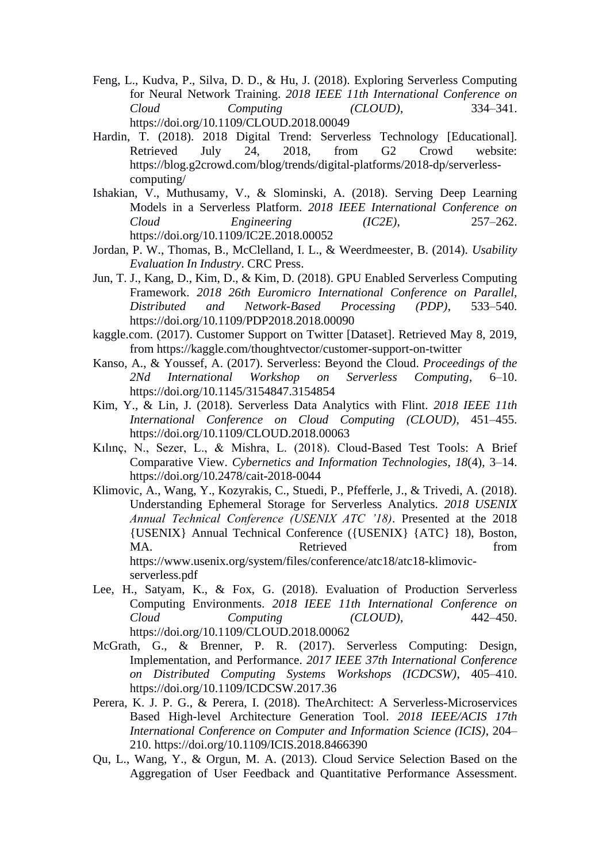- Feng, L., Kudva, P., Silva, D. D., & Hu, J. (2018). Exploring Serverless Computing for Neural Network Training. *2018 IEEE 11th International Conference on Cloud Computing (CLOUD)*, 334–341. https://doi.org/10.1109/CLOUD.2018.00049
- Hardin, T. (2018). 2018 Digital Trend: Serverless Technology [Educational]. Retrieved July 24, 2018, from G2 Crowd website: https://blog.g2crowd.com/blog/trends/digital-platforms/2018-dp/serverlesscomputing/
- Ishakian, V., Muthusamy, V., & Slominski, A. (2018). Serving Deep Learning Models in a Serverless Platform. *2018 IEEE International Conference on Cloud Engineering (IC2E)*, 257–262. https://doi.org/10.1109/IC2E.2018.00052
- Jordan, P. W., Thomas, B., McClelland, I. L., & Weerdmeester, B. (2014). *Usability Evaluation In Industry*. CRC Press.
- Jun, T. J., Kang, D., Kim, D., & Kim, D. (2018). GPU Enabled Serverless Computing Framework. *2018 26th Euromicro International Conference on Parallel, Distributed and Network-Based Processing (PDP)*, 533–540. https://doi.org/10.1109/PDP2018.2018.00090
- kaggle.com. (2017). Customer Support on Twitter [Dataset]. Retrieved May 8, 2019, from https://kaggle.com/thoughtvector/customer-support-on-twitter
- Kanso, A., & Youssef, A. (2017). Serverless: Beyond the Cloud. *Proceedings of the 2Nd International Workshop on Serverless Computing*, 6–10. https://doi.org/10.1145/3154847.3154854
- Kim, Y., & Lin, J. (2018). Serverless Data Analytics with Flint. *2018 IEEE 11th International Conference on Cloud Computing (CLOUD)*, 451–455. https://doi.org/10.1109/CLOUD.2018.00063
- Kılınç, N., Sezer, L., & Mishra, L. (2018). Cloud-Based Test Tools: A Brief Comparative View. *Cybernetics and Information Technologies*, *18*(4), 3–14. https://doi.org/10.2478/cait-2018-0044
- Klimovic, A., Wang, Y., Kozyrakis, C., Stuedi, P., Pfefferle, J., & Trivedi, A. (2018). Understanding Ephemeral Storage for Serverless Analytics. *2018 USENIX Annual Technical Conference (USENIX ATC '18)*. Presented at the 2018 {USENIX} Annual Technical Conference ({USENIX} {ATC} 18), Boston, MA. Some in the Retrieved of the from the set of the set of the set of the set of the set of the set of the set of the set of the set of the set of the set of the set of the set of the set of the set of the set of the set https://www.usenix.org/system/files/conference/atc18/atc18-klimovicserverless.pdf
- Lee, H., Satyam, K., & Fox, G. (2018). Evaluation of Production Serverless Computing Environments. *2018 IEEE 11th International Conference on Cloud Computing (CLOUD)*, 442–450. https://doi.org/10.1109/CLOUD.2018.00062
- McGrath, G., & Brenner, P. R. (2017). Serverless Computing: Design, Implementation, and Performance. *2017 IEEE 37th International Conference on Distributed Computing Systems Workshops (ICDCSW)*, 405–410. https://doi.org/10.1109/ICDCSW.2017.36
- Perera, K. J. P. G., & Perera, I. (2018). TheArchitect: A Serverless-Microservices Based High-level Architecture Generation Tool. *2018 IEEE/ACIS 17th International Conference on Computer and Information Science (ICIS)*, 204– 210. https://doi.org/10.1109/ICIS.2018.8466390
- Qu, L., Wang, Y., & Orgun, M. A. (2013). Cloud Service Selection Based on the Aggregation of User Feedback and Quantitative Performance Assessment.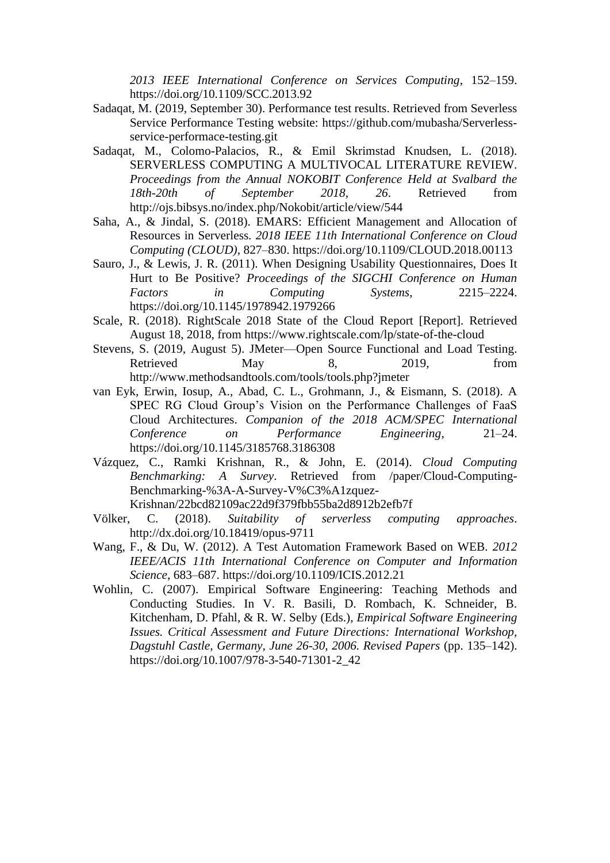*2013 IEEE International Conference on Services Computing*, 152–159. https://doi.org/10.1109/SCC.2013.92

- Sadaqat, M. (2019, September 30). Performance test results. Retrieved from Severless Service Performance Testing website: https://github.com/mubasha/Serverlessservice-performace-testing.git
- Sadaqat, M., Colomo-Palacios, R., & Emil Skrimstad Knudsen, L. (2018). SERVERLESS COMPUTING A MULTIVOCAL LITERATURE REVIEW. *Proceedings from the Annual NOKOBIT Conference Held at Svalbard the 18th-20th of September 2018*, *26*. Retrieved from http://ojs.bibsys.no/index.php/Nokobit/article/view/544
- Saha, A., & Jindal, S. (2018). EMARS: Efficient Management and Allocation of Resources in Serverless. *2018 IEEE 11th International Conference on Cloud Computing (CLOUD)*, 827–830. https://doi.org/10.1109/CLOUD.2018.00113
- Sauro, J., & Lewis, J. R. (2011). When Designing Usability Questionnaires, Does It Hurt to Be Positive? *Proceedings of the SIGCHI Conference on Human Factors in Computing Systems*, 2215–2224. https://doi.org/10.1145/1978942.1979266
- Scale, R. (2018). RightScale 2018 State of the Cloud Report [Report]. Retrieved August 18, 2018, from https://www.rightscale.com/lp/state-of-the-cloud
- Stevens, S. (2019, August 5). JMeter—Open Source Functional and Load Testing. Retrieved May 8, 2019, from http://www.methodsandtools.com/tools/tools.php?jmeter
- van Eyk, Erwin, Iosup, A., Abad, C. L., Grohmann, J., & Eismann, S. (2018). A SPEC RG Cloud Group's Vision on the Performance Challenges of FaaS Cloud Architectures. *Companion of the 2018 ACM/SPEC International Conference on Performance Engineering*, 21–24. https://doi.org/10.1145/3185768.3186308
- Vázquez, C., Ramki Krishnan, R., & John, E. (2014). *Cloud Computing Benchmarking: A Survey*. Retrieved from /paper/Cloud-Computing-Benchmarking-%3A-A-Survey-V%C3%A1zquez-

Krishnan/22bcd82109ac22d9f379fbb55ba2d8912b2efb7f

- Völker, C. (2018). *Suitability of serverless computing approaches*. http://dx.doi.org/10.18419/opus-9711
- Wang, F., & Du, W. (2012). A Test Automation Framework Based on WEB. *2012 IEEE/ACIS 11th International Conference on Computer and Information Science*, 683–687. https://doi.org/10.1109/ICIS.2012.21
- Wohlin, C. (2007). Empirical Software Engineering: Teaching Methods and Conducting Studies. In V. R. Basili, D. Rombach, K. Schneider, B. Kitchenham, D. Pfahl, & R. W. Selby (Eds.), *Empirical Software Engineering Issues. Critical Assessment and Future Directions: International Workshop, Dagstuhl Castle, Germany, June 26-30, 2006. Revised Papers* (pp. 135–142). https://doi.org/10.1007/978-3-540-71301-2\_42